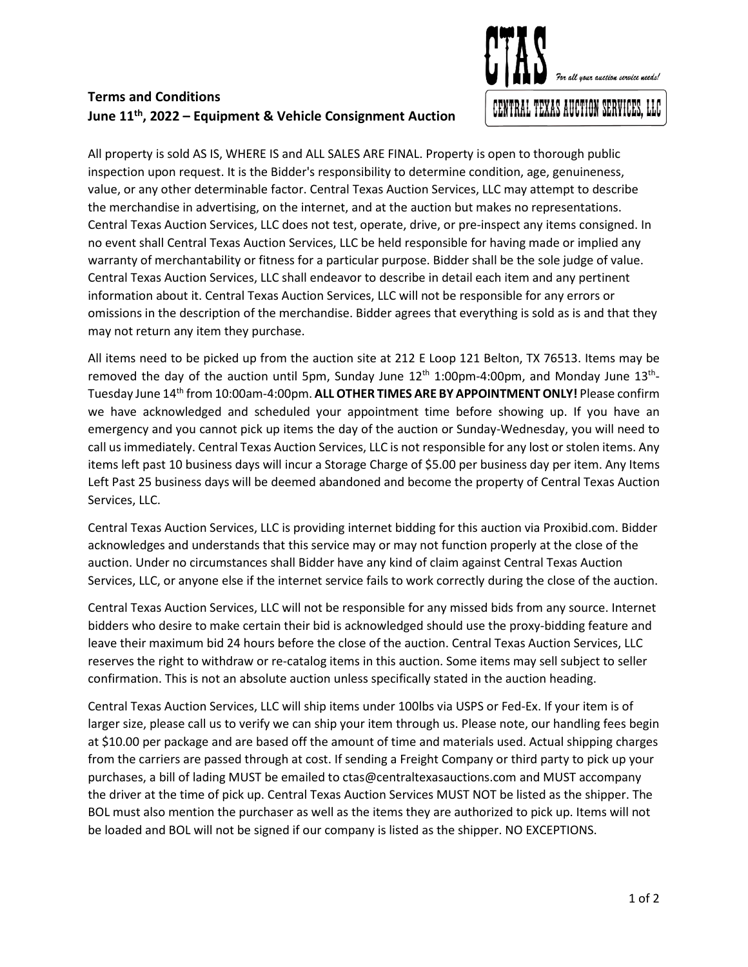## **Terms and Conditions June 11th, 2022 – Equipment & Vehicle Consignment Auction**



All property is sold AS IS, WHERE IS and ALL SALES ARE FINAL. Property is open to thorough public inspection upon request. It is the Bidder's responsibility to determine condition, age, genuineness, value, or any other determinable factor. Central Texas Auction Services, LLC may attempt to describe the merchandise in advertising, on the internet, and at the auction but makes no representations. Central Texas Auction Services, LLC does not test, operate, drive, or pre-inspect any items consigned. In no event shall Central Texas Auction Services, LLC be held responsible for having made or implied any warranty of merchantability or fitness for a particular purpose. Bidder shall be the sole judge of value. Central Texas Auction Services, LLC shall endeavor to describe in detail each item and any pertinent information about it. Central Texas Auction Services, LLC will not be responsible for any errors or omissions in the description of the merchandise. Bidder agrees that everything is sold as is and that they may not return any item they purchase.

All items need to be picked up from the auction site at 212 E Loop 121 Belton, TX 76513. Items may be removed the day of the auction until 5pm, Sunday June 12<sup>th</sup> 1:00pm-4:00pm, and Monday June 13<sup>th</sup>-Tuesday June 14th from 10:00am-4:00pm. **ALL OTHER TIMES ARE BY APPOINTMENT ONLY!** Please confirm we have acknowledged and scheduled your appointment time before showing up. If you have an emergency and you cannot pick up items the day of the auction or Sunday-Wednesday, you will need to call us immediately. Central Texas Auction Services, LLC is not responsible for any lost or stolen items. Any items left past 10 business days will incur a Storage Charge of \$5.00 per business day per item. Any Items Left Past 25 business days will be deemed abandoned and become the property of Central Texas Auction Services, LLC.

Central Texas Auction Services, LLC is providing internet bidding for this auction via Proxibid.com. Bidder acknowledges and understands that this service may or may not function properly at the close of the auction. Under no circumstances shall Bidder have any kind of claim against Central Texas Auction Services, LLC, or anyone else if the internet service fails to work correctly during the close of the auction.

Central Texas Auction Services, LLC will not be responsible for any missed bids from any source. Internet bidders who desire to make certain their bid is acknowledged should use the proxy-bidding feature and leave their maximum bid 24 hours before the close of the auction. Central Texas Auction Services, LLC reserves the right to withdraw or re-catalog items in this auction. Some items may sell subject to seller confirmation. This is not an absolute auction unless specifically stated in the auction heading.

Central Texas Auction Services, LLC will ship items under 100lbs via USPS or Fed-Ex. If your item is of larger size, please call us to verify we can ship your item through us. Please note, our handling fees begin at \$10.00 per package and are based off the amount of time and materials used. Actual shipping charges from the carriers are passed through at cost. If sending a Freight Company or third party to pick up your purchases, a bill of lading MUST be emailed to ctas@centraltexasauctions.com and MUST accompany the driver at the time of pick up. Central Texas Auction Services MUST NOT be listed as the shipper. The BOL must also mention the purchaser as well as the items they are authorized to pick up. Items will not be loaded and BOL will not be signed if our company is listed as the shipper. NO EXCEPTIONS.